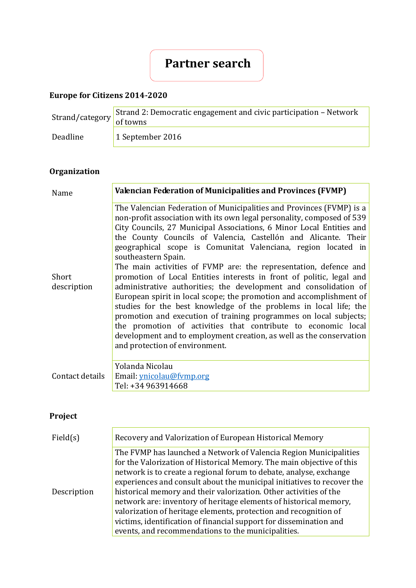# **Partner search**

## **Europe for Citizens 2014-2020**

| $\frac{3 \text{trand}/\text{category}}{6 \text{ f} \text{ towns}}$ | Strand 2: Democratic engagement and civic participation – Network |
|--------------------------------------------------------------------|-------------------------------------------------------------------|
| Deadline                                                           | 1 September 2016                                                  |

## **Organization**

| Name                 | <b>Valencian Federation of Municipalities and Provinces (FVMP)</b>                                                                                                                                                                                                                                                                                                                                                                                                                                                                                                                                                                                                                                                                                                                                                                                                                                                                                                                          |
|----------------------|---------------------------------------------------------------------------------------------------------------------------------------------------------------------------------------------------------------------------------------------------------------------------------------------------------------------------------------------------------------------------------------------------------------------------------------------------------------------------------------------------------------------------------------------------------------------------------------------------------------------------------------------------------------------------------------------------------------------------------------------------------------------------------------------------------------------------------------------------------------------------------------------------------------------------------------------------------------------------------------------|
| Short<br>description | The Valencian Federation of Municipalities and Provinces (FVMP) is a<br>non-profit association with its own legal personality, composed of 539<br>City Councils, 27 Municipal Associations, 6 Minor Local Entities and<br>the County Councils of Valencia, Castellón and Alicante. Their<br>geographical scope is Comunitat Valenciana, region located in<br>southeastern Spain.<br>The main activities of FVMP are: the representation, defence and<br>promotion of Local Entities interests in front of politic, legal and<br>administrative authorities; the development and consolidation of<br>European spirit in local scope; the promotion and accomplishment of<br>studies for the best knowledge of the problems in local life; the<br>promotion and execution of training programmes on local subjects;<br>the promotion of activities that contribute to economic local<br>development and to employment creation, as well as the conservation<br>and protection of environment. |
| Contact details      | Yolanda Nicolau<br>Email: ynicolau@fymp.org<br>Tel: +34 963914668                                                                                                                                                                                                                                                                                                                                                                                                                                                                                                                                                                                                                                                                                                                                                                                                                                                                                                                           |

# **Project**

| Field(s)    | Recovery and Valorization of European Historical Memory                                                                                                                                                                                                                                                                                                                                                                                                                                                                                                                                                                              |
|-------------|--------------------------------------------------------------------------------------------------------------------------------------------------------------------------------------------------------------------------------------------------------------------------------------------------------------------------------------------------------------------------------------------------------------------------------------------------------------------------------------------------------------------------------------------------------------------------------------------------------------------------------------|
| Description | The FVMP has launched a Network of Valencia Region Municipalities<br>for the Valorization of Historical Memory. The main objective of this<br>network is to create a regional forum to debate, analyse, exchange<br>experiences and consult about the municipal initiatives to recover the<br>historical memory and their valorization. Other activities of the<br>network are: inventory of heritage elements of historical memory,<br>valorization of heritage elements, protection and recognition of<br>victims, identification of financial support for dissemination and<br>events, and recommendations to the municipalities. |